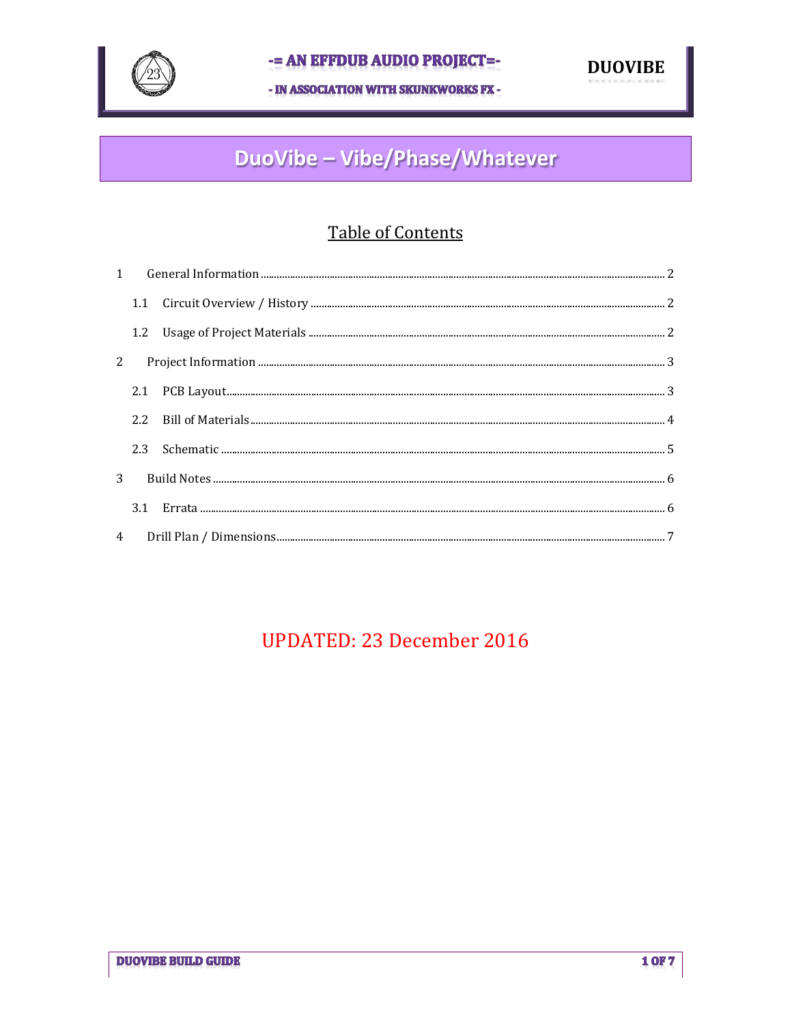

- IN ASSOCIATION WITH SKUNKWORKS FX -



# DuoVibe - Vibe/Phase/Whatever

# **Table of Contents**

| 3 |     |  |  |  |  |  |
|---|-----|--|--|--|--|--|
|   | 3.1 |  |  |  |  |  |
|   |     |  |  |  |  |  |

# **UPDATED: 23 December 2016**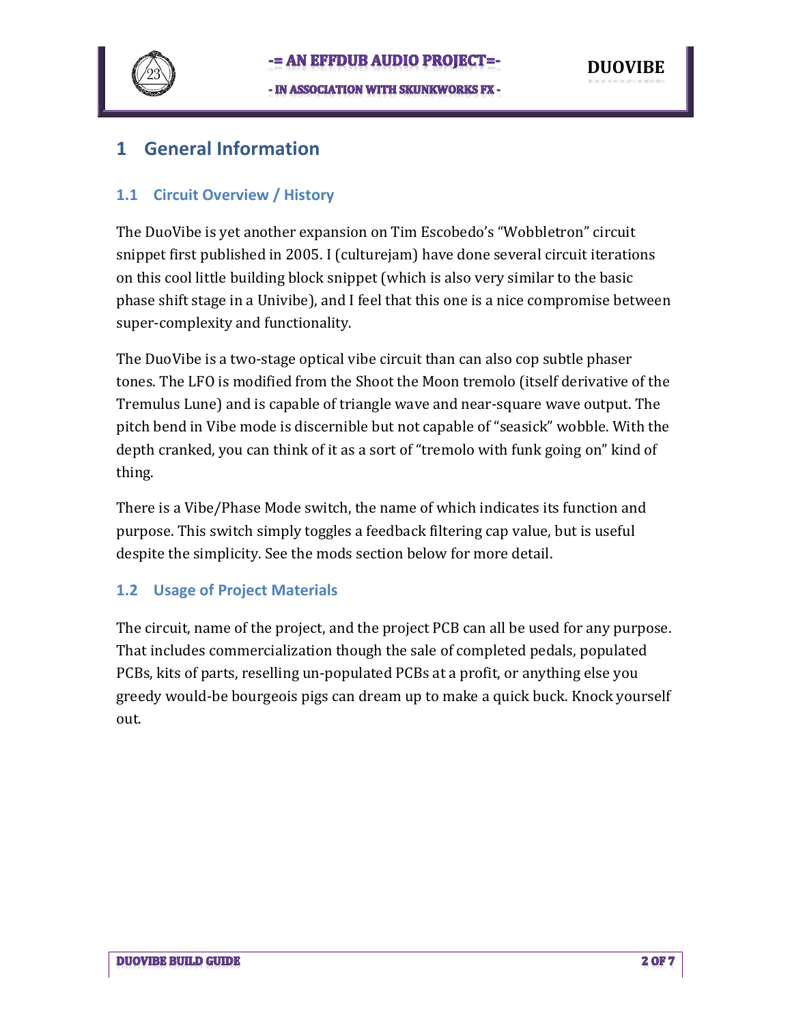

# **1 General Information**

### **1.1 Circuit Overview / History**

The DuoVibe is yet another expansion on Tim Escobedo's "Wobbletron" circuit snippet first published in 2005. I (culturejam) have done several circuit iterations on this cool little building block snippet (which is also very similar to the basic phase shift stage in a Univibe), and I feel that this one is a nice compromise between super-complexity and functionality.

The DuoVibe is a two-stage optical vibe circuit than can also cop subtle phaser tones. The LFO is modified from the Shoot the Moon tremolo (itself derivative of the Tremulus Lune) and is capable of triangle wave and near-square wave output. The pitch bend in Vibe mode is discernible but not capable of "seasick" wobble. With the depth cranked, you can think of it as a sort of "tremolo with funk going on" kind of thing.

There is a Vibe/Phase Mode switch, the name of which indicates its function and purpose. This switch simply toggles a feedback filtering cap value, but is useful despite the simplicity. See the mods section below for more detail.

### **1.2 Usage of Project Materials**

The circuit, name of the project, and the project PCB can all be used for any purpose. That includes commercialization though the sale of completed pedals, populated PCBs, kits of parts, reselling un-populated PCBs at a profit, or anything else you greedy would-be bourgeois pigs can dream up to make a quick buck. Knock yourself out.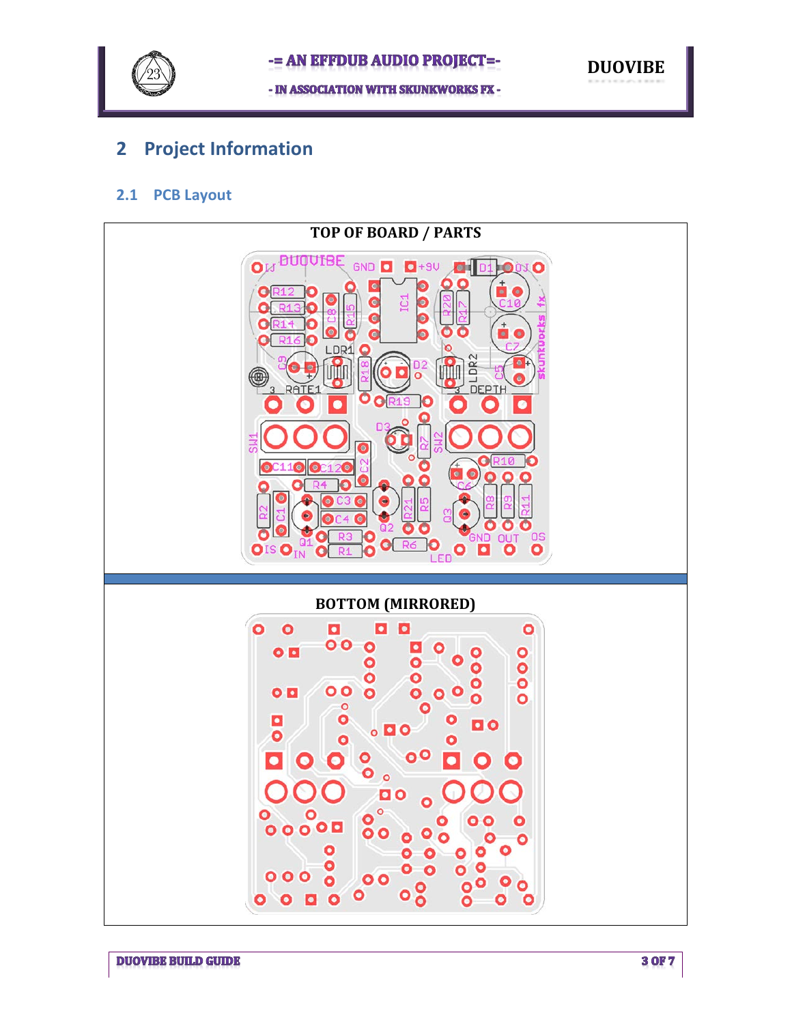

# **2 Project Information**

### **2.1 PCB Layout**

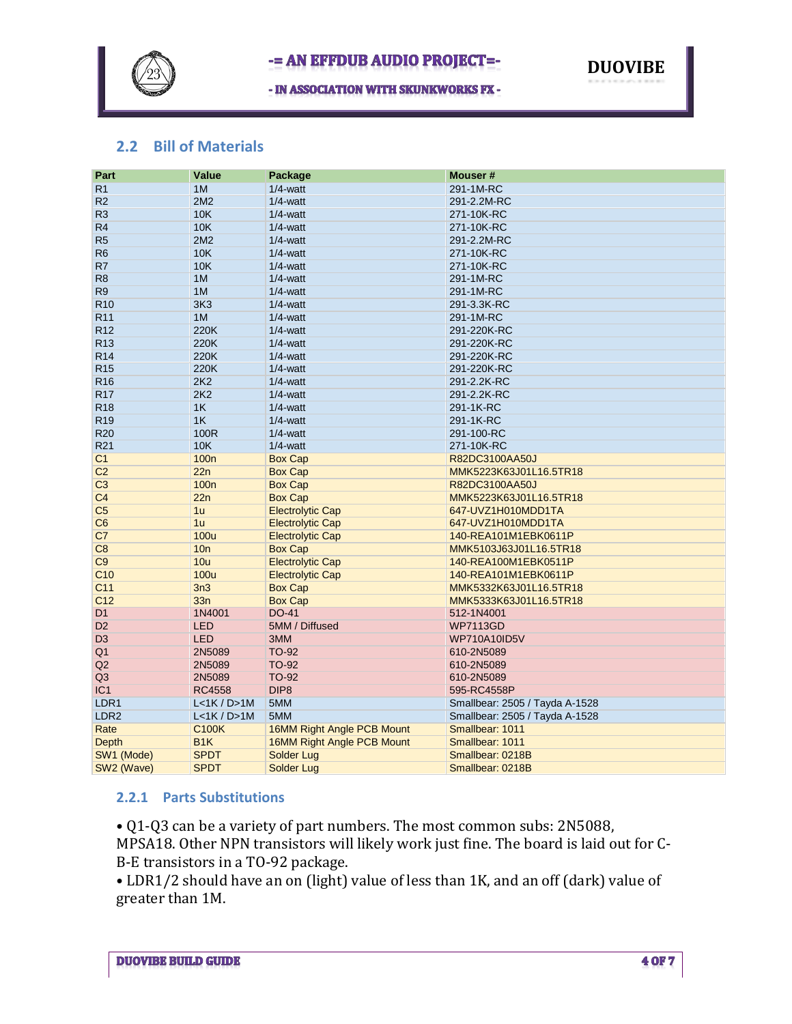

- IN ASSOCIATION WITH SKUNKWORKS FX -



#### **2.2 Bill of Materials**

| Part             | Value            | Package                    | Mouser#                        |
|------------------|------------------|----------------------------|--------------------------------|
| R <sub>1</sub>   | 1M               | $1/4$ -watt                | 291-1M-RC                      |
| R <sub>2</sub>   | 2M2              | $1/4$ -watt                | 291-2.2M-RC                    |
| R <sub>3</sub>   | <b>10K</b>       | $1/4$ -watt                | 271-10K-RC                     |
| R <sub>4</sub>   | 10K              | $1/4$ -watt                | 271-10K-RC                     |
| R <sub>5</sub>   | 2M2              | $1/4$ -watt                | 291-2.2M-RC                    |
| R <sub>6</sub>   | 10K              | $1/4$ -watt                | 271-10K-RC                     |
| R7               | 10K              | $1/4$ -watt                | 271-10K-RC                     |
| R <sub>8</sub>   | 1M               | $1/4$ -watt                | 291-1M-RC                      |
| R <sub>9</sub>   | 1M               | $1/4$ -watt                | 291-1M-RC                      |
| R <sub>10</sub>  | 3K <sub>3</sub>  | $1/4$ -watt                | 291-3.3K-RC                    |
| R <sub>11</sub>  | 1M               | $1/4$ -watt                | 291-1M-RC                      |
| R <sub>12</sub>  | 220K             | $1/4$ -watt                | 291-220K-RC                    |
| R <sub>13</sub>  | 220K             | $1/4$ -watt                | 291-220K-RC                    |
| R <sub>14</sub>  | 220K             | $1/4$ -watt                | 291-220K-RC                    |
| R <sub>15</sub>  | 220K             | $1/4$ -watt                | 291-220K-RC                    |
| R <sub>16</sub>  | 2K2              | $1/4$ -watt                | 291-2.2K-RC                    |
| <b>R17</b>       | 2K2              | $1/4$ -watt                | 291-2.2K-RC                    |
| <b>R18</b>       | 1K               | $1/4$ -watt                | 291-1K-RC                      |
| R <sub>19</sub>  | 1K               | $1/4$ -watt                | 291-1K-RC                      |
| <b>R20</b>       | 100R             | $1/4$ -watt                | 291-100-RC                     |
| R <sub>21</sub>  | <b>10K</b>       | $1/4$ -watt                | 271-10K-RC                     |
| C <sub>1</sub>   | 100 <sub>n</sub> | <b>Box Cap</b>             | R82DC3100AA50J                 |
| C <sub>2</sub>   | 22n              | <b>Box Cap</b>             | MMK5223K63J01L16.5TR18         |
| C <sub>3</sub>   | 100 <sub>n</sub> | <b>Box Cap</b>             | R82DC3100AA50J                 |
| C <sub>4</sub>   | 22n              | <b>Box Cap</b>             | MMK5223K63J01L16.5TR18         |
| C <sub>5</sub>   | 1u               | <b>Electrolytic Cap</b>    | 647-UVZ1H010MDD1TA             |
| C6               | 1 <sub>u</sub>   | <b>Electrolytic Cap</b>    | 647-UVZ1H010MDD1TA             |
| C7               | <b>100u</b>      | <b>Electrolytic Cap</b>    | 140-REA101M1EBK0611P           |
| C8               | 10n              | <b>Box Cap</b>             | MMK5103J63J01L16.5TR18         |
| C9               | 10u              | <b>Electrolytic Cap</b>    | 140-REA100M1EBK0511P           |
| C <sub>10</sub>  | <b>100u</b>      | <b>Electrolytic Cap</b>    | 140-REA101M1EBK0611P           |
| C <sub>11</sub>  | 3n3              | <b>Box Cap</b>             | MMK5332K63J01L16.5TR18         |
| C <sub>12</sub>  | 33n              | <b>Box Cap</b>             | MMK5333K63J01L16.5TR18         |
| D <sub>1</sub>   | 1N4001           | DO-41                      | 512-1N4001                     |
| D <sub>2</sub>   | <b>LED</b>       | 5MM / Diffused             | <b>WP7113GD</b>                |
| D <sub>3</sub>   | <b>LED</b>       | 3MM                        | <b>WP710A10ID5V</b>            |
| Q <sub>1</sub>   | 2N5089           | TO-92                      | 610-2N5089                     |
| Q2               | 2N5089           | TO-92                      | 610-2N5089                     |
| Q3               | 2N5089           | <b>TO-92</b>               | 610-2N5089                     |
| IC <sub>1</sub>  | <b>RC4558</b>    | DIP <sub>8</sub>           | 595-RC4558P                    |
| LDR1             | L<1K / D>1M      | 5MM                        | Smallbear: 2505 / Tayda A-1528 |
| LDR <sub>2</sub> | L < 1K / D > 1M  | 5MM                        | Smallbear: 2505 / Tayda A-1528 |
| Rate             | <b>C100K</b>     | 16MM Right Angle PCB Mount | Smallbear: 1011                |
| <b>Depth</b>     | B <sub>1</sub> K | 16MM Right Angle PCB Mount | Smallbear: 1011                |
| SW1 (Mode)       | <b>SPDT</b>      | <b>Solder Lug</b>          | Smallbear: 0218B               |
| SW2 (Wave)       | <b>SPDT</b>      | <b>Solder Lug</b>          | Smallbear: 0218B               |

#### **2.2.1 Parts Substitutions**

• Q1-Q3 can be a variety of part numbers. The most common subs: 2N5088, MPSA18. Other NPN transistors will likely work just fine. The board is laid out for C-B-E transistors in a TO-92 package.

• LDR1/2 should have an on (light) value of less than 1K, and an off (dark) value of greater than 1M.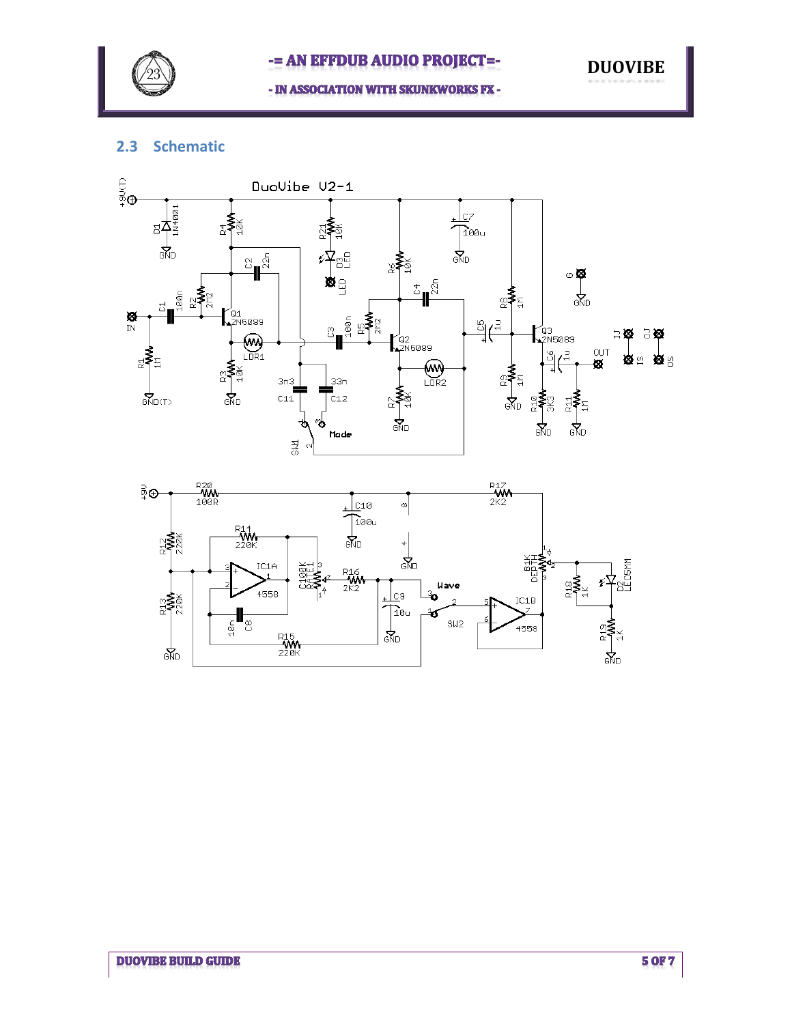

- IN ASSOCIATION WITH SKUNKWORKS FX -

### **2.3 Schematic**





**DUOVIBE**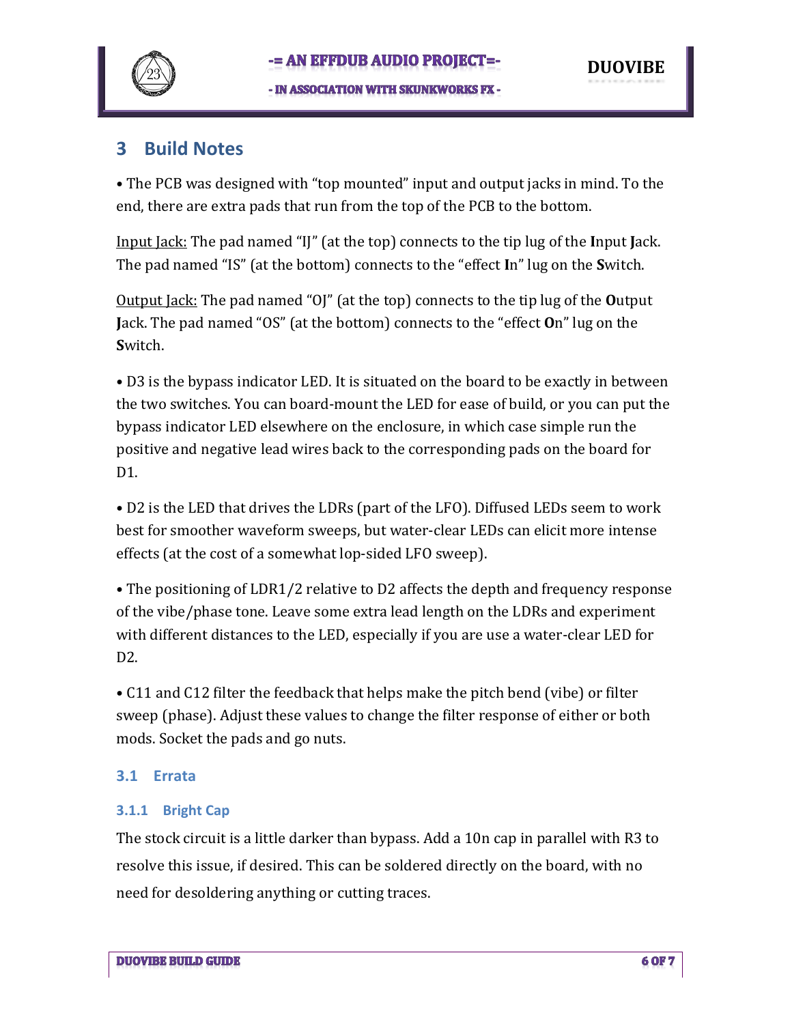

### **3 Build Notes**

• The PCB was designed with "top mounted" input and output jacks in mind. To the end, there are extra pads that run from the top of the PCB to the bottom.

Input Jack: The pad named "IJ" (at the top) connects to the tip lug of the **I**nput **J**ack. The pad named "IS" (at the bottom) connects to the "effect **I**n" lug on the **S**witch.

Output Jack: The pad named "OJ" (at the top) connects to the tip lug of the **O**utput **J**ack. The pad named "OS" (at the bottom) connects to the "effect **O**n" lug on the **S**witch.

• D3 is the bypass indicator LED. It is situated on the board to be exactly in between the two switches. You can board-mount the LED for ease of build, or you can put the bypass indicator LED elsewhere on the enclosure, in which case simple run the positive and negative lead wires back to the corresponding pads on the board for D<sub>1</sub>

• D2 is the LED that drives the LDRs (part of the LFO). Diffused LEDs seem to work best for smoother waveform sweeps, but water-clear LEDs can elicit more intense effects (at the cost of a somewhat lop-sided LFO sweep).

• The positioning of LDR1/2 relative to D2 affects the depth and frequency response of the vibe/phase tone. Leave some extra lead length on the LDRs and experiment with different distances to the LED, especially if you are use a water-clear LED for D2.

• C11 and C12 filter the feedback that helps make the pitch bend (vibe) or filter sweep (phase). Adjust these values to change the filter response of either or both mods. Socket the pads and go nuts.

### **3.1 Errata**

### **3.1.1 Bright Cap**

The stock circuit is a little darker than bypass. Add a 10n cap in parallel with R3 to resolve this issue, if desired. This can be soldered directly on the board, with no need for desoldering anything or cutting traces.